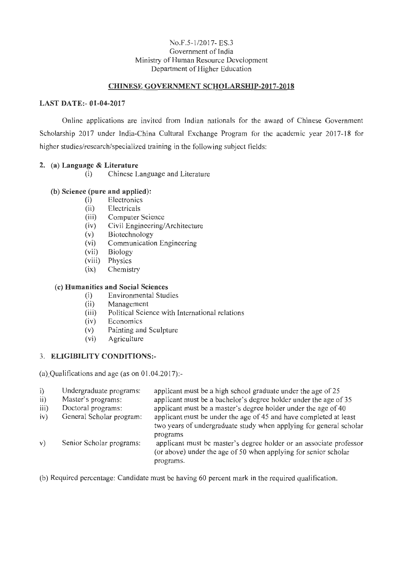#### No.F.5-1/2017- ES.3 Government of India Ministry of Human Resource Development Department of Higher Education

## **CHINESE GOVERNMENT SCHOLARSHIP-2017-2018**

#### **LAST DATE:- 01-04-2017**

Online applications are invited from Indian nationals for the award of Chinese Government Scholarship 2017 under India-China Cultural Exchange Program for the academic year 2017-18 for higher studies/research/specialized training in the following subject fields:

#### **2.** (a) **Language & Literature**

(i) Chinese Language and Literature

## **(b) Science (pure and applied):**

- (i) Electronics
- (ii) Electricals
- (iii) Computer Science
- (iv) Civil Engineering/Architecture
- (v) Biotechnology
- (vi) Communication Engineering
- (vii) Biology
- (viii) Physics
- (ix) Chemistry

#### **(c) Humanities and Social Sciences**

- (i) Environmental Studies
- (ii) Management
- (iii) Political Science with International relations
- (iv) Economics
- (v) Painting and Sculpture
- (vi) Agriculture

## 3. **ELIGIBILITY CONDITIONS:-**

(a) Qualifications and age (as on  $01.04.2017$ ):-

| i)   | Undergraduate programs:  | applicant must be a high school graduate under the age of 25                                                                                       |
|------|--------------------------|----------------------------------------------------------------------------------------------------------------------------------------------------|
| ii)  | Master's programs:       | applicant must be a bachelor's degree holder under the age of 35                                                                                   |
| iii) | Doctoral programs:       | applicant must be a master's degree holder under the age of 40                                                                                     |
| iv)  | General Scholar program: | applicant must be under the age of 45 and have completed at least                                                                                  |
|      |                          | two years of undergraduate study when applying for general scholar<br>programs                                                                     |
| V)   | Senior Scholar programs: | applicant must be master's degree holder or an associate professor<br>(or above) under the age of 50 when applying for senior scholar<br>programs. |
|      |                          |                                                                                                                                                    |

(b) Required percentage: Candidate must be having 60 percent mark in the required qualification.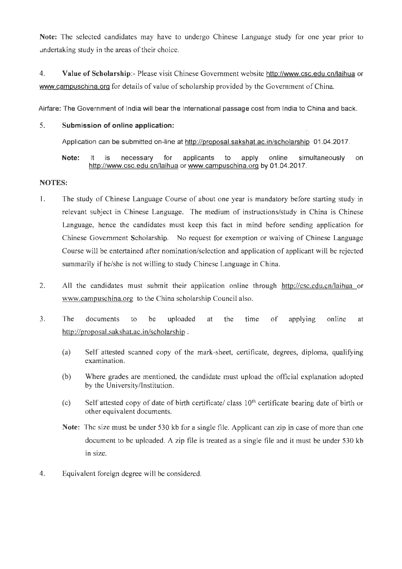Note: The selected candidates may have to undergo Chinese Language study for one year prior to andertaking study in the areas of their choice.

4. Value of Scholarship:- Please visit Chinese Government website http://www.csc.edu.cn/laihua or www.campuschina .org for details of value of scholarship provided by the Government of China.

Airfare: The Government of India will bear the International passage cost from India to China and back.

# 5. Submission of online application:

Application can be submitted on-line at http://proposal.sakshat.ac. in/scholarship 01 .04.2017.

Note: It is necessary for applicants to apply online simultaneously on http://www.csc.edu.cn/laihua or www.campuschina.org by 01.04.2017.

# NOTES:

- 1. The study of Chinese Language Course of about one year is mandatory before starting study in relevant subject in Chinese Language. The medium of instructions/study in China is Chinese Language, hence the candidates must keep this fact in mind before sending application for Chinese Government Scholarship. No request for exemption or waiving of Chinese Language Course will be entertained after nomination/selection and application of applicant will be rejected summarily if he/she is not willing to study Chinese Language in China.
- 2. All the candidates must submit their application online through http://csc.edu.cn/laihua or www.campuschina.org to the China scholarship Council also.
- 3. The documents to be uploaded at the time of applying online at http://proposal.sakshat.ac.in/scholarship .
	- (a) Self attested scanned copy of the mark-sheet, certificate, degrees, diploma, qualifying examination.
	- (b) Where grades are mentioned, the candidate must upload the official explanation adopted by the University/Institution.
	- (c) Self attested copy of date of birth certificate/ class 10<sup>th</sup> certificate bearing date of birth or other equivalent documents.
	- Note: The size must be under 530 kb for a single file. Applicant can zip in case of more than one document to be uploaded. A zip file is treated as a single file and it must be under 530 kb in size.
- 4. Equivalent foreign degree will be considered.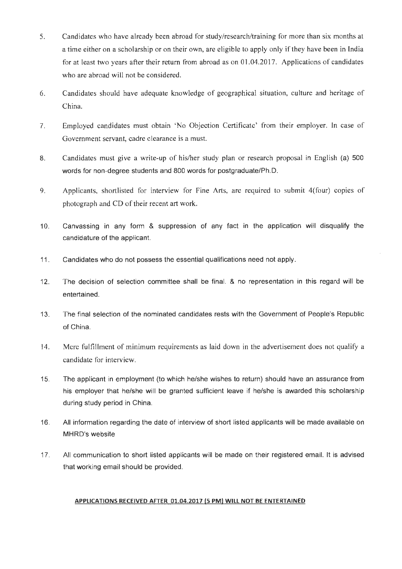- 5. Candidates who have already been abroad for study/research/training for more than six months at a time either on a scholarship or on their own, are eligible to apply only if they have been in India for at least two years after their return from abroad as on 01.04.2017. Applications of candidates who are abroad will not be considered.
- 6. Candidates should have adequate knowledge of geographical situation, culture and heritage of China.
- 7. Employed candidates must obtain 'No Objection Certificate' from their employer. In case of Government servant, cadre clearance is a must.
- 8. Candidates must give a write-up of his/her study plan or research proposal in English (a) 500 words for non-degree students and 800 words for postgraduate/Ph.D.
- 9. Applicants, shortlisted for interview for Fine Arts, are required to submit 4(four) copies of photograph and CD of their recent art work.
- 10. Canvassing in any form & suppression of any fact in the application will disqualify the candidature of the applicant.
- 11 . Candidates who do not possess the essential qualifications need not apply.
- 12. The decision of selection committee shall be final. & no representation in this regard will be entertained.
- 13. The final selection of the nominated candidates rests with the Government of People's Republic of China.
- 14. Mere fulfillment of minimum requirements as laid down in the advertisement does not qualify a candidate for interview.
- 15. The applicant in employment (to which he/she wishes to return) should have an assurance from his employer that he/she will be granted sufficient leave if he/she is awarded this scholarship during study period in China.
- 16. All information regarding the date of interview of short listed applicants will be made available on MHRD's website
- 17. All communication to short listed applicants will be made on their registered email. It is advised that working email should be provided.

#### **APPLICATIONS RECEIVED AFTER 01.04.2017 (5 PM) WILL NOT BE ENTERTAINED**